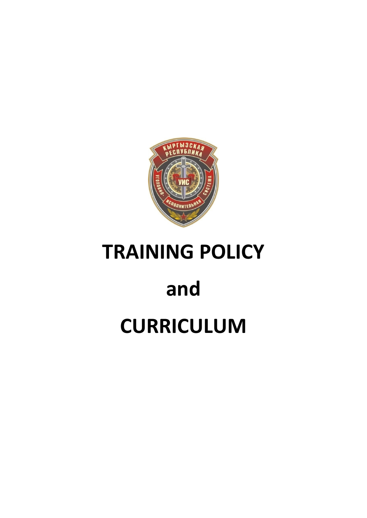

## **TRAINING POLICY**

# **and**

## **CURRICULUM**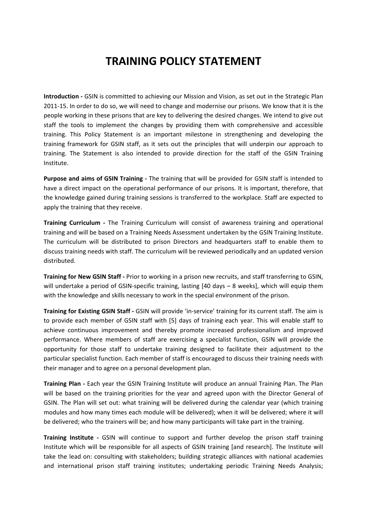### **TRAINING POLICY STATEMENT**

**Introduction -** GSIN is committed to achieving our Mission and Vision, as set out in the Strategic Plan 2011-15. In order to do so, we will need to change and modernise our prisons. We know that it is the people working in these prisons that are key to delivering the desired changes. We intend to give out staff the tools to implement the changes by providing them with comprehensive and accessible training. This Policy Statement is an important milestone in strengthening and developing the training framework for GSIN staff, as it sets out the principles that will underpin our approach to training. The Statement is also intended to provide direction for the staff of the GSIN Training Institute.

**Purpose and aims of GSIN Training -** The training that will be provided for GSIN staff is intended to have a direct impact on the operational performance of our prisons. It is important, therefore, that the knowledge gained during training sessions is transferred to the workplace. Staff are expected to apply the training that they receive.

**Training Curriculum -** The Training Curriculum will consist of awareness training and operational training and will be based on a Training Needs Assessment undertaken by the GSIN Training Institute. The curriculum will be distributed to prison Directors and headquarters staff to enable them to discuss training needs with staff. The curriculum will be reviewed periodically and an updated version distributed.

**Training for New GSIN Staff -** Prior to working in a prison new recruits, and staff transferring to GSIN, will undertake a period of GSIN-specific training, lasting [40 days – 8 weeks], which will equip them with the knowledge and skills necessary to work in the special environment of the prison.

**Training for Existing GSIN Staff -** GSIN will provide 'in-service' training for its current staff. The aim is to provide each member of GSIN staff with [5] days of training each year. This will enable staff to achieve continuous improvement and thereby promote increased professionalism and improved performance. Where members of staff are exercising a specialist function, GSIN will provide the opportunity for those staff to undertake training designed to facilitate their adjustment to the particular specialist function. Each member of staff is encouraged to discuss their training needs with their manager and to agree on a personal development plan.

**Training Plan -** Each year the GSIN Training Institute will produce an annual Training Plan. The Plan will be based on the training priorities for the year and agreed upon with the Director General of GSIN. The Plan will set out: what training will be delivered during the calendar year (which training modules and how many times each module will be delivered); when it will be delivered; where it will be delivered; who the trainers will be; and how many participants will take part in the training.

**Training Institute -** GSIN will continue to support and further develop the prison staff training Institute which will be responsible for all aspects of GSIN training [and research]. The Institute will take the lead on: consulting with stakeholders; building strategic alliances with national academies and international prison staff training institutes; undertaking periodic Training Needs Analysis;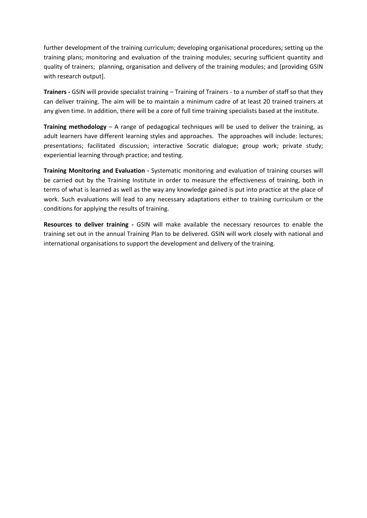further development of the training curriculum; developing organisational procedures; setting up the training plans; monitoring and evaluation of the training modules; securing sufficient quantity and quality of trainers; planning, organisation and delivery of the training modules; and [providing GSIN with research output].

**Trainers -** GSIN will provide specialist training – Training of Trainers - to a number of staff so that they can deliver training. The aim will be to maintain a minimum cadre of at least 20 trained trainers at any given time. In addition, there will be a core of full time training specialists based at the institute.

**Training methodology** – A range of pedagogical techniques will be used to deliver the training, as adult learners have different learning styles and approaches. The approaches will include: lectures; presentations; facilitated discussion; interactive Socratic dialogue; group work; private study; experiential learning through practice; and testing.

**Training Monitoring and Evaluation -** Systematic monitoring and evaluation of training courses will be carried out by the Training Institute in order to measure the effectiveness of training, both in terms of what is learned as well as the way any knowledge gained is put into practice at the place of work. Such evaluations will lead to any necessary adaptations either to training curriculum or the conditions for applying the results of training.

**Resources to deliver training -** GSIN will make available the necessary resources to enable the training set out in the annual Training Plan to be delivered. GSIN will work closely with national and international organisations to support the development and delivery of the training.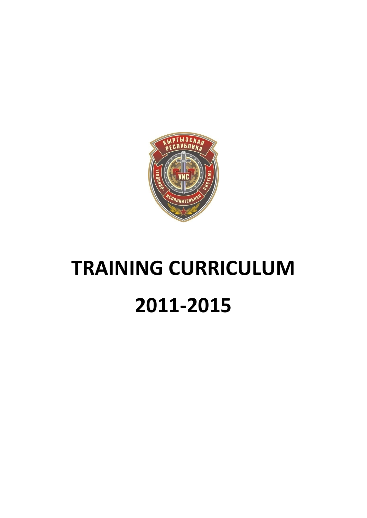

# **TRAINING CURRICULUM 2011-2015**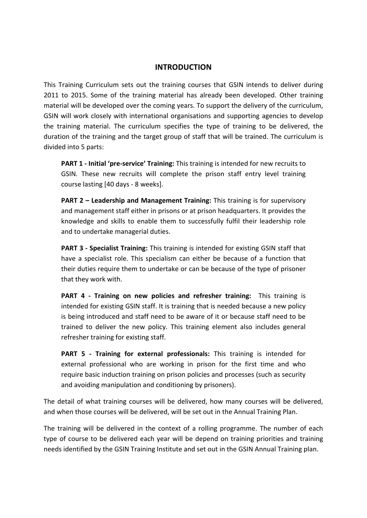#### **INTRODUCTION**

This Training Curriculum sets out the training courses that GSIN intends to deliver during 2011 to 2015. Some of the training material has already been developed. Other training material will be developed over the coming years. To support the delivery of the curriculum, GSIN will work closely with international organisations and supporting agencies to develop the training material. The curriculum specifies the type of training to be delivered, the duration of the training and the target group of staff that will be trained. The curriculum is divided into 5 parts:

**PART 1 - Initial 'pre-service' Training:** This training is intended for new recruits to GSIN. These new recruits will complete the prison staff entry level training course lasting [40 days - 8 weeks].

**PART 2 – Leadership and Management Training:** This training is for supervisory and management staff either in prisons or at prison headquarters. It provides the knowledge and skills to enable them to successfully fulfil their leadership role and to undertake managerial duties.

**PART 3 - Specialist Training:** This training is intended for existing GSIN staff that have a specialist role. This specialism can either be because of a function that their duties require them to undertake or can be because of the type of prisoner that they work with.

**PART 4 - Training on new policies and refresher training:** This training is intended for existing GSIN staff. It is training that is needed because a new policy is being introduced and staff need to be aware of it or because staff need to be trained to deliver the new policy. This training element also includes general refresher training for existing staff.

**PART 5 - Training for external professionals:** This training is intended for external professional who are working in prison for the first time and who require basic induction training on prison policies and processes (such as security and avoiding manipulation and conditioning by prisoners).

The detail of what training courses will be delivered, how many courses will be delivered, and when those courses will be delivered, will be set out in the Annual Training Plan.

The training will be delivered in the context of a rolling programme. The number of each type of course to be delivered each year will be depend on training priorities and training needs identified by the GSIN Training Institute and set out in the GSIN Annual Training plan.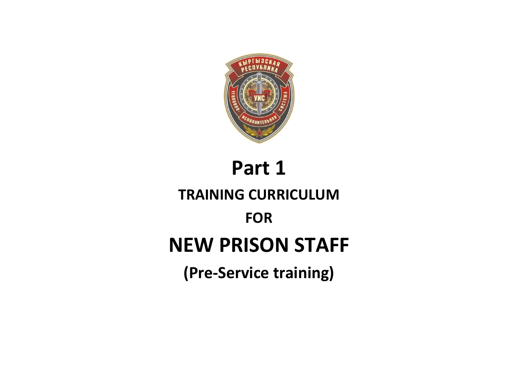

# **Part 1 TRAINING CURRICULUM FOR NEW PRISON STAFF (Pre-Service training)**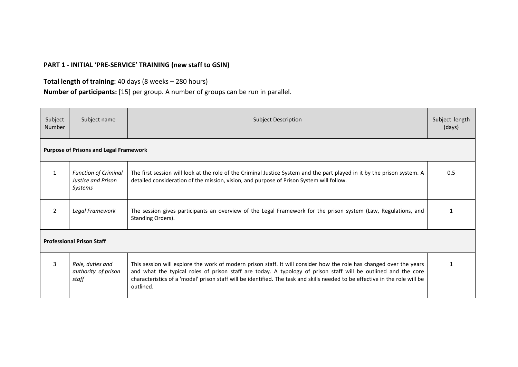### **PART 1 - INITIAL 'PRE-SERVICE' TRAINING (new staff to GSIN)**

#### **Total length of training:** 40 days (8 weeks – 280 hours)

**Number of participants:** [15] per group. A number of groups can be run in parallel.

| Subject<br>Number | Subject name                                                 | <b>Subject Description</b>                                                                                                                                                                                                                                                                                                                                                         |     |  |  |
|-------------------|--------------------------------------------------------------|------------------------------------------------------------------------------------------------------------------------------------------------------------------------------------------------------------------------------------------------------------------------------------------------------------------------------------------------------------------------------------|-----|--|--|
|                   | <b>Purpose of Prisons and Legal Framework</b>                |                                                                                                                                                                                                                                                                                                                                                                                    |     |  |  |
| 1                 | <b>Function of Criminal</b><br>Justice and Prison<br>Systems | The first session will look at the role of the Criminal Justice System and the part played in it by the prison system. A<br>detailed consideration of the mission, vision, and purpose of Prison System will follow.                                                                                                                                                               | 0.5 |  |  |
| 2                 | Legal Framework                                              | The session gives participants an overview of the Legal Framework for the prison system (Law, Regulations, and<br>Standing Orders).                                                                                                                                                                                                                                                |     |  |  |
|                   | <b>Professional Prison Staff</b>                             |                                                                                                                                                                                                                                                                                                                                                                                    |     |  |  |
| 3                 | Role, duties and<br>authority of prison<br>staff             | This session will explore the work of modern prison staff. It will consider how the role has changed over the years<br>and what the typical roles of prison staff are today. A typology of prison staff will be outlined and the core<br>characteristics of a 'model' prison staff will be identified. The task and skills needed to be effective in the role will be<br>outlined. |     |  |  |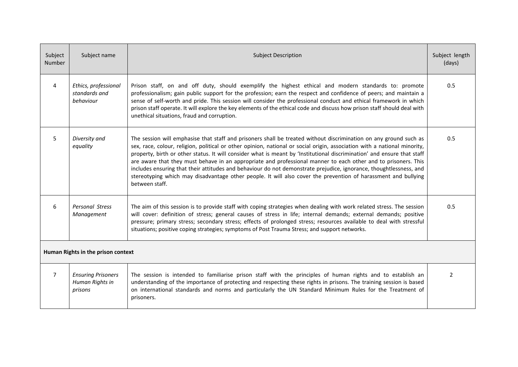| Subject<br><b>Number</b> | Subject name                                            | <b>Subject Description</b>                                                                                                                                                                                                                                                                                                                                                                                                                                                                                                                                                                                                                                                                                                                            |                |  |  |
|--------------------------|---------------------------------------------------------|-------------------------------------------------------------------------------------------------------------------------------------------------------------------------------------------------------------------------------------------------------------------------------------------------------------------------------------------------------------------------------------------------------------------------------------------------------------------------------------------------------------------------------------------------------------------------------------------------------------------------------------------------------------------------------------------------------------------------------------------------------|----------------|--|--|
| 4                        | Ethics, professional<br>standards and<br>hehaviour      | Prison staff, on and off duty, should exemplify the highest ethical and modern standards to: promote<br>professionalism; gain public support for the profession; earn the respect and confidence of peers; and maintain a<br>sense of self-worth and pride. This session will consider the professional conduct and ethical framework in which<br>prison staff operate. It will explore the key elements of the ethical code and discuss how prison staff should deal with<br>unethical situations, fraud and corruption.                                                                                                                                                                                                                             | 0.5            |  |  |
| 5                        | Diversity and<br>equality                               | The session will emphasise that staff and prisoners shall be treated without discrimination on any ground such as<br>sex, race, colour, religion, political or other opinion, national or social origin, association with a national minority,<br>property, birth or other status. It will consider what is meant by 'Institutional discrimination' and ensure that staff<br>are aware that they must behave in an appropriate and professional manner to each other and to prisoners. This<br>includes ensuring that their attitudes and behaviour do not demonstrate prejudice, ignorance, thoughtlessness, and<br>stereotyping which may disadvantage other people. It will also cover the prevention of harassment and bullying<br>between staff. | 0.5            |  |  |
| 6                        | <b>Personal Stress</b><br>Management                    | The aim of this session is to provide staff with coping strategies when dealing with work related stress. The session<br>will cover: definition of stress; general causes of stress in life; internal demands; external demands; positive<br>pressure; primary stress; secondary stress; effects of prolonged stress; resources available to deal with stressful<br>situations; positive coping strategies; symptoms of Post Trauma Stress; and support networks.                                                                                                                                                                                                                                                                                     |                |  |  |
|                          | Human Rights in the prison context                      |                                                                                                                                                                                                                                                                                                                                                                                                                                                                                                                                                                                                                                                                                                                                                       |                |  |  |
| $7^{\circ}$              | <b>Ensuring Prisoners</b><br>Human Rights in<br>prisons | The session is intended to familiarise prison staff with the principles of human rights and to establish an<br>understanding of the importance of protecting and respecting these rights in prisons. The training session is based<br>on international standards and norms and particularly the UN Standard Minimum Rules for the Treatment of<br>prisoners.                                                                                                                                                                                                                                                                                                                                                                                          | $\overline{2}$ |  |  |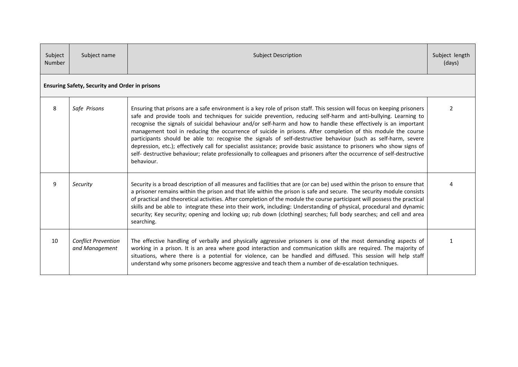| Subject<br><b>Number</b> | Subject name                                          | <b>Subject Description</b>                                                                                                                                                                                                                                                                                                                                                                                                                                                                                                                                                                                                                                                                                                                                                                                                                                           |               |  |
|--------------------------|-------------------------------------------------------|----------------------------------------------------------------------------------------------------------------------------------------------------------------------------------------------------------------------------------------------------------------------------------------------------------------------------------------------------------------------------------------------------------------------------------------------------------------------------------------------------------------------------------------------------------------------------------------------------------------------------------------------------------------------------------------------------------------------------------------------------------------------------------------------------------------------------------------------------------------------|---------------|--|
|                          | <b>Ensuring Safety, Security and Order in prisons</b> |                                                                                                                                                                                                                                                                                                                                                                                                                                                                                                                                                                                                                                                                                                                                                                                                                                                                      |               |  |
| 8                        | Safe Prisons                                          | Ensuring that prisons are a safe environment is a key role of prison staff. This session will focus on keeping prisoners<br>safe and provide tools and techniques for suicide prevention, reducing self-harm and anti-bullying. Learning to<br>recognise the signals of suicidal behaviour and/or self-harm and how to handle these effectively is an important<br>management tool in reducing the occurrence of suicide in prisons. After completion of this module the course<br>participants should be able to: recognise the signals of self-destructive behaviour (such as self-harm, severe<br>depression, etc.); effectively call for specialist assistance; provide basic assistance to prisoners who show signs of<br>self- destructive behaviour; relate professionally to colleagues and prisoners after the occurrence of self-destructive<br>behaviour. | $\mathcal{P}$ |  |
| 9                        | Security                                              | Security is a broad description of all measures and facilities that are (or can be) used within the prison to ensure that<br>a prisoner remains within the prison and that life within the prison is safe and secure. The security module consists<br>of practical and theoretical activities. After completion of the module the course participant will possess the practical<br>skills and be able to integrate these into their work, including: Understanding of physical, procedural and dynamic<br>security; Key security; opening and locking up; rub down (clothing) searches; full body searches; and cell and area<br>searching.                                                                                                                                                                                                                          |               |  |
| 10                       | <b>Conflict Prevention</b><br>and Management          | The effective handling of verbally and physically aggressive prisoners is one of the most demanding aspects of<br>working in a prison. It is an area where good interaction and communication skills are required. The majority of<br>situations, where there is a potential for violence, can be handled and diffused. This session will help staff<br>understand why some prisoners become aggressive and teach them a number of de-escalation techniques.                                                                                                                                                                                                                                                                                                                                                                                                         | 1             |  |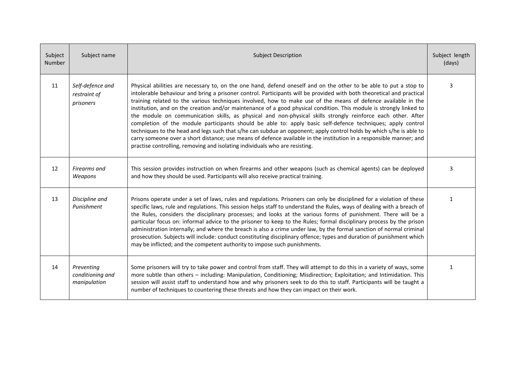| Subject<br>Number | Subject name                                   | <b>Subject Description</b>                                                                                                                                                                                                                                                                                                                                                                                                                                                                                                                                                                                                                                                                                                                                                                                                                                                                                                                                                                                                                     |              |  |  |
|-------------------|------------------------------------------------|------------------------------------------------------------------------------------------------------------------------------------------------------------------------------------------------------------------------------------------------------------------------------------------------------------------------------------------------------------------------------------------------------------------------------------------------------------------------------------------------------------------------------------------------------------------------------------------------------------------------------------------------------------------------------------------------------------------------------------------------------------------------------------------------------------------------------------------------------------------------------------------------------------------------------------------------------------------------------------------------------------------------------------------------|--------------|--|--|
| 11                | Self-defence and<br>restraint of<br>prisoners  | Physical abilities are necessary to, on the one hand, defend oneself and on the other to be able to put a stop to<br>intolerable behaviour and bring a prisoner control. Participants will be provided with both theoretical and practical<br>training related to the various techniques involved, how to make use of the means of defence available in the<br>institution, and on the creation and/or maintenance of a good physical condition. This module is strongly linked to<br>the module on communication skills, as physical and non-physical skills strongly reinforce each other. After<br>completion of the module participants should be able to: apply basic self-defence techniques; apply control<br>techniques to the head and legs such that s/he can subdue an opponent; apply control holds by which s/he is able to<br>carry someone over a short distance; use means of defence available in the institution in a responsible manner; and<br>practise controlling, removing and isolating individuals who are resisting. | 3            |  |  |
| 12                | Firearms and<br>Weapons                        | This session provides instruction on when firearms and other weapons (such as chemical agents) can be deployed<br>and how they should be used. Participants will also receive practical training.                                                                                                                                                                                                                                                                                                                                                                                                                                                                                                                                                                                                                                                                                                                                                                                                                                              |              |  |  |
| 13                | Discipline and<br>Punishment                   | Prisons operate under a set of laws, rules and regulations. Prisoners can only be disciplined for a violation of these<br>specific laws, rule and regulations. This session helps staff to understand the Rules, ways of dealing with a breach of<br>the Rules, considers the disciplinary processes; and looks at the various forms of punishment. There will be a<br>particular focus on: informal advice to the prisoner to keep to the Rules; formal disciplinary process by the prison<br>administration internally; and where the breach is also a crime under law, by the formal sanction of normal criminal<br>prosecution. Subjects will include: conduct constituting disciplinary offence; types and duration of punishment which<br>may be inflicted; and the competent authority to impose such punishments.                                                                                                                                                                                                                      |              |  |  |
| 14                | Preventing<br>conditioning and<br>manipulation | Some prisoners will try to take power and control from staff. They will attempt to do this in a variety of ways, some<br>more subtle than others - including: Manipulation, Conditioning; Misdirection; Exploitation; and Intimidation. This<br>session will assist staff to understand how and why prisoners seek to do this to staff. Participants will be taught a<br>number of techniques to countering these threats and how they can impact on their work.                                                                                                                                                                                                                                                                                                                                                                                                                                                                                                                                                                               | $\mathbf{1}$ |  |  |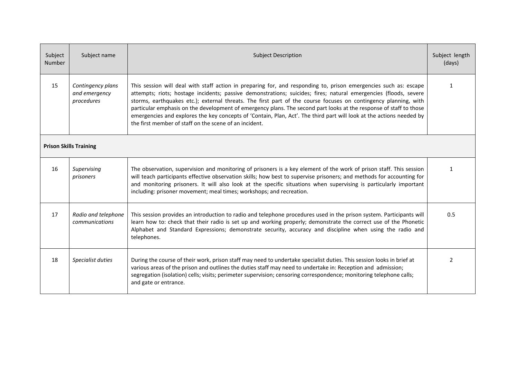| Subject<br>Number | Subject name                                                                                                                                                                                                                                                                                                                                                                                                  | <b>Subject Description</b>                                                                                                                                                                                                                                                                                                                                                                                                                                                                                                                                                                                                                                      |                |  |  |
|-------------------|---------------------------------------------------------------------------------------------------------------------------------------------------------------------------------------------------------------------------------------------------------------------------------------------------------------------------------------------------------------------------------------------------------------|-----------------------------------------------------------------------------------------------------------------------------------------------------------------------------------------------------------------------------------------------------------------------------------------------------------------------------------------------------------------------------------------------------------------------------------------------------------------------------------------------------------------------------------------------------------------------------------------------------------------------------------------------------------------|----------------|--|--|
| 15                | Contingency plans<br>and emergency<br>procedures                                                                                                                                                                                                                                                                                                                                                              | This session will deal with staff action in preparing for, and responding to, prison emergencies such as: escape<br>attempts; riots; hostage incidents; passive demonstrations; suicides; fires; natural emergencies (floods, severe<br>storms, earthquakes etc.); external threats. The first part of the course focuses on contingency planning, with<br>particular emphasis on the development of emergency plans. The second part looks at the response of staff to those<br>emergencies and explores the key concepts of 'Contain, Plan, Act'. The third part will look at the actions needed by<br>the first member of staff on the scene of an incident. | $\mathbf{1}$   |  |  |
|                   | <b>Prison Skills Training</b>                                                                                                                                                                                                                                                                                                                                                                                 |                                                                                                                                                                                                                                                                                                                                                                                                                                                                                                                                                                                                                                                                 |                |  |  |
| 16                | Supervising<br>prisoners                                                                                                                                                                                                                                                                                                                                                                                      | The observation, supervision and monitoring of prisoners is a key element of the work of prison staff. This session<br>will teach participants effective observation skills; how best to supervise prisoners; and methods for accounting for<br>and monitoring prisoners. It will also look at the specific situations when supervising is particularly important<br>including: prisoner movement; meal times; workshops; and recreation.                                                                                                                                                                                                                       | $\mathbf{1}$   |  |  |
| 17                | Radio and telephone<br>This session provides an introduction to radio and telephone procedures used in the prison system. Participants will<br>learn how to: check that their radio is set up and working properly; demonstrate the correct use of the Phonetic<br>communications<br>Alphabet and Standard Expressions; demonstrate security, accuracy and discipline when using the radio and<br>telephones. |                                                                                                                                                                                                                                                                                                                                                                                                                                                                                                                                                                                                                                                                 | 0.5            |  |  |
| 18                | Specialist duties                                                                                                                                                                                                                                                                                                                                                                                             | During the course of their work, prison staff may need to undertake specialist duties. This session looks in brief at<br>various areas of the prison and outlines the duties staff may need to undertake in: Reception and admission;<br>segregation (isolation) cells; visits; perimeter supervision; censoring correspondence; monitoring telephone calls;<br>and gate or entrance.                                                                                                                                                                                                                                                                           | $\overline{2}$ |  |  |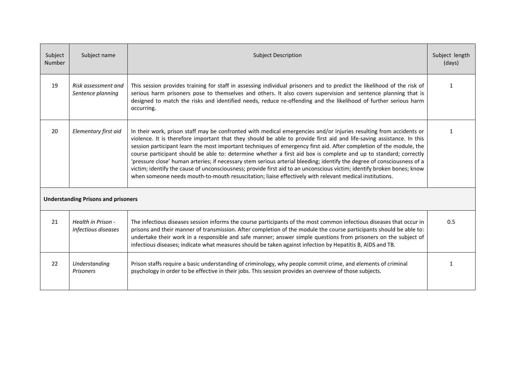| Subject<br><b>Number</b> | Subject name                               | <b>Subject Description</b>                                                                                                                                                                                                                                                                                                                                                                                                                                                                                                                                                                                                                                                                                                                                                                                                                              |     |  |  |  |
|--------------------------|--------------------------------------------|---------------------------------------------------------------------------------------------------------------------------------------------------------------------------------------------------------------------------------------------------------------------------------------------------------------------------------------------------------------------------------------------------------------------------------------------------------------------------------------------------------------------------------------------------------------------------------------------------------------------------------------------------------------------------------------------------------------------------------------------------------------------------------------------------------------------------------------------------------|-----|--|--|--|
| 19                       | Risk assessment and<br>Sentence planning   | This session provides training for staff in assessing individual prisoners and to predict the likelihood of the risk of<br>serious harm prisoners pose to themselves and others. It also covers supervision and sentence planning that is<br>designed to match the risks and identified needs, reduce re-offending and the likelihood of further serious harm<br>occurring.                                                                                                                                                                                                                                                                                                                                                                                                                                                                             |     |  |  |  |
| 20                       | Elementary first aid                       | In their work, prison staff may be confronted with medical emergencies and/or injuries resulting from accidents or<br>violence. It is therefore important that they should be able to provide first aid and life-saving assistance. In this<br>session participant learn the most important techniques of emergency first aid. After completion of the module, the<br>course participant should be able to: determine whether a first aid box is complete and up to standard; correctly<br>'pressure close' human arteries; if necessary stem serious arterial bleeding; identify the degree of consciousness of a<br>victim; identify the cause of unconsciousness; provide first aid to an unconscious victim; identify broken bones; know<br>when someone needs mouth-to-mouth resuscitation; liaise effectively with relevant medical institutions. |     |  |  |  |
|                          | <b>Understanding Prisons and prisoners</b> |                                                                                                                                                                                                                                                                                                                                                                                                                                                                                                                                                                                                                                                                                                                                                                                                                                                         |     |  |  |  |
| 21                       | Health in Prison -<br>Infectious diseases  | The infectious diseases session informs the course participants of the most common infectious diseases that occur in<br>prisons and their manner of transmission. After completion of the module the course participants should be able to:<br>undertake their work in a responsible and safe manner; answer simple questions from prisoners on the subject of<br>infectious diseases; indicate what measures should be taken against infection by Hepatitis B, AIDS and TB.                                                                                                                                                                                                                                                                                                                                                                            | 0.5 |  |  |  |
| 22                       | Understanding<br><b>Prisoners</b>          | Prison staffs require a basic understanding of criminology, why people commit crime, and elements of criminal<br>psychology in order to be effective in their jobs. This session provides an overview of those subjects.                                                                                                                                                                                                                                                                                                                                                                                                                                                                                                                                                                                                                                | 1   |  |  |  |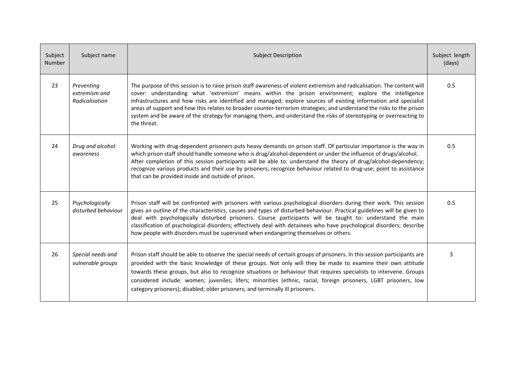| Subject<br>Number | Subject name                                  | <b>Subject Description</b>                                                                                                                                                                                                                                                                                                                                                                                                                                                                                                                                                                                        |     |  |  |
|-------------------|-----------------------------------------------|-------------------------------------------------------------------------------------------------------------------------------------------------------------------------------------------------------------------------------------------------------------------------------------------------------------------------------------------------------------------------------------------------------------------------------------------------------------------------------------------------------------------------------------------------------------------------------------------------------------------|-----|--|--|
| 23                | Preventing<br>extremism and<br>Radicalisation | The purpose of this session is to raise prison staff awareness of violent extremism and radicalisation. The content will<br>cover: understanding what 'extremism' means within the prison environment; explore the intelligence<br>infrastructures and how risks are identified and managed; explore sources of existing information and specialist<br>areas of support and how this relates to broader counter-terrorism strategies; and understand the risks to the prison<br>system and be aware of the strategy for managing them, and understand the risks of stereotyping or overreacting to<br>the threat. | 0.5 |  |  |
| 24                | Drug and alcohol<br>awareness                 | Working with drug-dependent prisoners puts heavy demands on prison staff. Of particular importance is the way in<br>which prison staff should handle someone who is drug/alcohol-dependent or under the influence of drugs/alcohol.<br>After completion of this session participants will be able to: understand the theory of drug/alcohol-dependency;<br>recognize various products and their use by prisoners; recognize behaviour related to drug-use; point to assistance<br>that can be provided inside and outside of prison.                                                                              | 0.5 |  |  |
| 25                | Psychologically<br>disturbed behaviour        | Prison staff will be confronted with prisoners with various psychological disorders during their work. This session<br>gives an outline of the characteristics, causes and types of disturbed behaviour. Practical guidelines will be given to<br>deal with psychologically disturbed prisoners. Course participants will be taught to: understand the main<br>classification of psychological disorders; effectively deal with detainees who have psychological disorders; describe<br>how people with disorders must be supervised when endangering themselves or others.                                       | 0.5 |  |  |
| 26                | Special needs and<br>vulnerable groups        | Prison staff should be able to observe the special needs of certain groups of prisoners. In this session participants are<br>provided with the basic knowledge of these groups. Not only will they be made to examine their own attitude<br>towards these groups, but also to recognize situations or behaviour that requires specialists to intervene. Groups<br>considered include: women; juveniles; lifers; minorities (ethnic, racial, foreign prisoners, LGBT prisoners, low<br>category prisoners); disabled; older prisoners; and terminally ill prisoners.                                               | २   |  |  |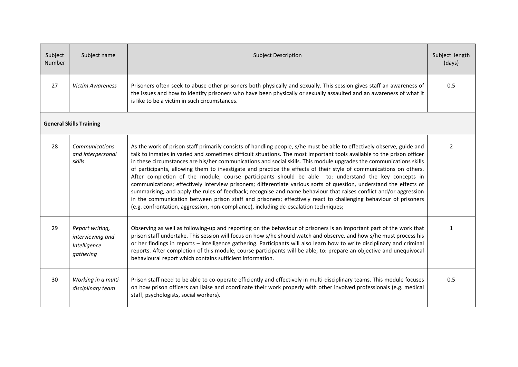| Subject<br>Number | Subject name                                                     | <b>Subject Description</b>                                                                                                                                                                                                                                                                                                                                                                                                                                                                                                                                                                                                                                                                                                                                                                                                                                                                                                                                                                                                                                      |                |  |  |  |
|-------------------|------------------------------------------------------------------|-----------------------------------------------------------------------------------------------------------------------------------------------------------------------------------------------------------------------------------------------------------------------------------------------------------------------------------------------------------------------------------------------------------------------------------------------------------------------------------------------------------------------------------------------------------------------------------------------------------------------------------------------------------------------------------------------------------------------------------------------------------------------------------------------------------------------------------------------------------------------------------------------------------------------------------------------------------------------------------------------------------------------------------------------------------------|----------------|--|--|--|
| 27                | <b>Victim Awareness</b>                                          | Prisoners often seek to abuse other prisoners both physically and sexually. This session gives staff an awareness of<br>the issues and how to identify prisoners who have been physically or sexually assaulted and an awareness of what it<br>is like to be a victim in such circumstances.                                                                                                                                                                                                                                                                                                                                                                                                                                                                                                                                                                                                                                                                                                                                                                    |                |  |  |  |
|                   | <b>General Skills Training</b>                                   |                                                                                                                                                                                                                                                                                                                                                                                                                                                                                                                                                                                                                                                                                                                                                                                                                                                                                                                                                                                                                                                                 |                |  |  |  |
| 28                | Communications<br>and interpersonal<br>skills                    | As the work of prison staff primarily consists of handling people, s/he must be able to effectively observe, guide and<br>talk to inmates in varied and sometimes difficult situations. The most important tools available to the prison officer<br>in these circumstances are his/her communications and social skills. This module upgrades the communications skills<br>of participants, allowing them to investigate and practice the effects of their style of communications on others.<br>After completion of the module, course participants should be able to: understand the key concepts in<br>communications; effectively interview prisoners; differentiate various sorts of question, understand the effects of<br>summarising, and apply the rules of feedback; recognise and name behaviour that raises conflict and/or aggression<br>in the communication between prison staff and prisoners; effectively react to challenging behaviour of prisoners<br>(e.g. confrontation, aggression, non-compliance), including de-escalation techniques; | $\overline{2}$ |  |  |  |
| 29                | Report writing,<br>interviewing and<br>Intelligence<br>gathering | Observing as well as following-up and reporting on the behaviour of prisoners is an important part of the work that<br>prison staff undertake. This session will focus on how s/he should watch and observe, and how s/he must process his<br>or her findings in reports - intelligence gathering. Participants will also learn how to write disciplinary and criminal<br>reports. After completion of this module, course participants will be able, to: prepare an objective and unequivocal<br>behavioural report which contains sufficient information.                                                                                                                                                                                                                                                                                                                                                                                                                                                                                                     | $\mathbf{1}$   |  |  |  |
| 30                | Working in a multi-<br>disciplinary team                         | Prison staff need to be able to co-operate efficiently and effectively in multi-disciplinary teams. This module focuses<br>on how prison officers can liaise and coordinate their work properly with other involved professionals (e.g. medical<br>staff, psychologists, social workers).                                                                                                                                                                                                                                                                                                                                                                                                                                                                                                                                                                                                                                                                                                                                                                       | 0.5            |  |  |  |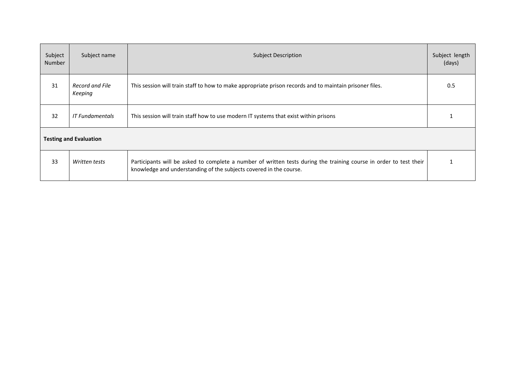| Subject<br>Number | Subject name                                                                                                                                                                                              | <b>Subject Description</b>                                                                              |  |  |  |  |
|-------------------|-----------------------------------------------------------------------------------------------------------------------------------------------------------------------------------------------------------|---------------------------------------------------------------------------------------------------------|--|--|--|--|
| 31                | Record and File<br>Keeping                                                                                                                                                                                | This session will train staff to how to make appropriate prison records and to maintain prisoner files. |  |  |  |  |
| 32                | <b>IT Fundamentals</b>                                                                                                                                                                                    | This session will train staff how to use modern IT systems that exist within prisons                    |  |  |  |  |
|                   | <b>Testing and Evaluation</b>                                                                                                                                                                             |                                                                                                         |  |  |  |  |
| 33                | Participants will be asked to complete a number of written tests during the training course in order to test their<br>Written tests<br>knowledge and understanding of the subjects covered in the course. |                                                                                                         |  |  |  |  |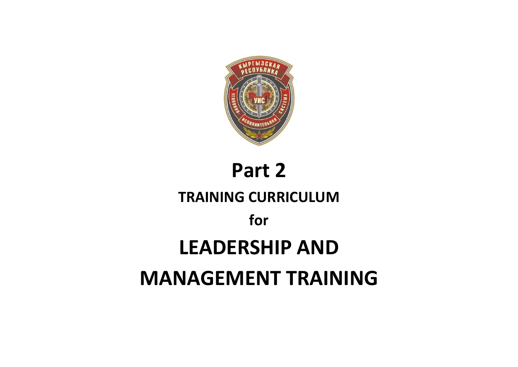

# **Part 2 TRAINING CURRICULUM for LEADERSHIP AND MANAGEMENT TRAINING**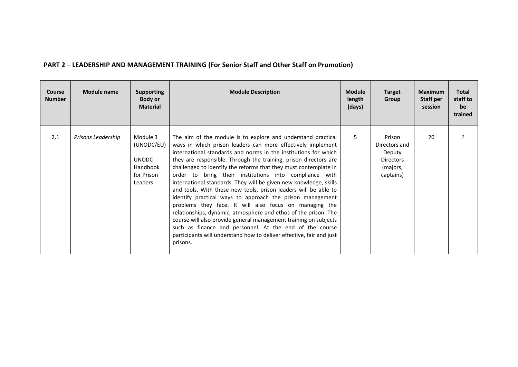| PART 2 - LEADERSHIP AND MANAGEMENT TRAINING (For Senior Staff and Other Staff on Promotion) |  |
|---------------------------------------------------------------------------------------------|--|
|---------------------------------------------------------------------------------------------|--|

| Course<br><b>Number</b> | Module name        | <b>Supporting</b><br>Body or<br><b>Material</b>                             | <b>Module Description</b>                                                                                                                                                                                                                                                                                                                                                                                                                                                                                                                                                                                                                                                                                                                                                                                                                                                                                                                             | <b>Module</b><br>length<br>(days) | <b>Target</b><br>Group                                                         | <b>Maximum</b><br>Staff per<br>session | <b>Total</b><br>staff to<br>be<br>trained |
|-------------------------|--------------------|-----------------------------------------------------------------------------|-------------------------------------------------------------------------------------------------------------------------------------------------------------------------------------------------------------------------------------------------------------------------------------------------------------------------------------------------------------------------------------------------------------------------------------------------------------------------------------------------------------------------------------------------------------------------------------------------------------------------------------------------------------------------------------------------------------------------------------------------------------------------------------------------------------------------------------------------------------------------------------------------------------------------------------------------------|-----------------------------------|--------------------------------------------------------------------------------|----------------------------------------|-------------------------------------------|
| 2.1                     | Prisons Leadership | Module 3<br>(UNODC/EU)<br><b>UNODC</b><br>Handbook<br>for Prison<br>Leaders | The aim of the module is to explore and understand practical<br>ways in which prison leaders can more effectively implement<br>international standards and norms in the institutions for which<br>they are responsible. Through the training, prison directors are<br>challenged to identify the reforms that they must contemplate in<br>order to bring their institutions into compliance with<br>international standards. They will be given new knowledge, skills<br>and tools. With these new tools, prison leaders will be able to<br>identify practical ways to approach the prison management<br>problems they face. It will also focus on managing the<br>relationships, dynamic, atmosphere and ethos of the prison. The<br>course will also provide general management training on subjects<br>such as finance and personnel. At the end of the course<br>participants will understand how to deliver effective, fair and just<br>prisons. | 5                                 | Prison<br>Directors and<br>Deputy<br><b>Directors</b><br>(majors,<br>captains) | 20                                     |                                           |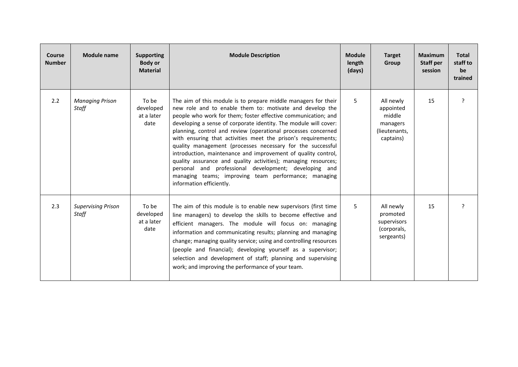| Course<br><b>Number</b> | Module name                        | <b>Supporting</b><br><b>Body or</b><br><b>Material</b> | <b>Module Description</b>                                                                                                                                                                                                                                                                                                                                                                                                                                                                                                                                                                                                                                                                                                                       | <b>Module</b><br>length<br>(days) | <b>Target</b><br><b>Group</b>                                              | <b>Maximum</b><br>Staff per<br>session | <b>Total</b><br>staff to<br>be<br>trained |
|-------------------------|------------------------------------|--------------------------------------------------------|-------------------------------------------------------------------------------------------------------------------------------------------------------------------------------------------------------------------------------------------------------------------------------------------------------------------------------------------------------------------------------------------------------------------------------------------------------------------------------------------------------------------------------------------------------------------------------------------------------------------------------------------------------------------------------------------------------------------------------------------------|-----------------------------------|----------------------------------------------------------------------------|----------------------------------------|-------------------------------------------|
| 2.2                     | <b>Managing Prison</b><br>Staff    | To be<br>developed<br>at a later<br>date               | The aim of this module is to prepare middle managers for their<br>new role and to enable them to: motivate and develop the<br>people who work for them; foster effective communication; and<br>developing a sense of corporate identity. The module will cover:<br>planning, control and review (operational processes concerned<br>with ensuring that activities meet the prison's requirements;<br>quality management (processes necessary for the successful<br>introduction, maintenance and improvement of quality control,<br>quality assurance and quality activities); managing resources;<br>personal and professional development; developing and<br>managing teams; improving team performance; managing<br>information efficiently. | 5                                 | All newly<br>appointed<br>middle<br>managers<br>(lieutenants,<br>captains) | 15                                     | ?                                         |
| 2.3                     | <b>Supervising Prison</b><br>Staff | To be<br>developed<br>at a later<br>date               | The aim of this module is to enable new supervisors (first time<br>line managers) to develop the skills to become effective and<br>efficient managers. The module will focus on: managing<br>information and communicating results; planning and managing<br>change; managing quality service; using and controlling resources<br>(people and financial); developing yourself as a supervisor;<br>selection and development of staff; planning and supervising<br>work; and improving the performance of your team.                                                                                                                                                                                                                             | 5                                 | All newly<br>promoted<br>supervisors<br>(corporals,<br>sergeants)          | 15                                     | 2                                         |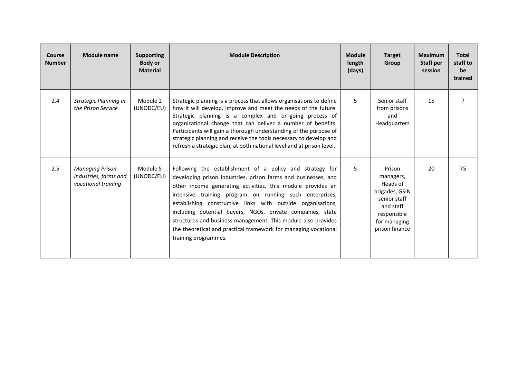| Course<br><b>Number</b> | Module name                                                            | <b>Supporting</b><br><b>Body or</b><br><b>Material</b> | <b>Module Description</b>                                                                                                                                                                                                                                                                                                                                                                                                                                                                                                                     | <b>Module</b><br>length<br>(days) | <b>Target</b><br><b>Group</b>                                                                                                   | <b>Maximum</b><br>Staff per<br>session | <b>Total</b><br>staff to<br>be<br>trained |
|-------------------------|------------------------------------------------------------------------|--------------------------------------------------------|-----------------------------------------------------------------------------------------------------------------------------------------------------------------------------------------------------------------------------------------------------------------------------------------------------------------------------------------------------------------------------------------------------------------------------------------------------------------------------------------------------------------------------------------------|-----------------------------------|---------------------------------------------------------------------------------------------------------------------------------|----------------------------------------|-------------------------------------------|
| 2.4                     | Strategic Planning in<br>the Prison Service                            | Module 2<br>(UNODC/EU)                                 | Strategic planning is a process that allows organisations to define<br>how it will develop, improve and meet the needs of the future.<br>Strategic planning is a complex and on-going process of<br>organizational change that can deliver a number of benefits.<br>Participants will gain a thorough understanding of the purpose of<br>strategic planning and receive the tools necessary to develop and<br>refresh a strategic plan, at both national level and at prison level.                                                           | $5^{\circ}$                       | Senior staff<br>from prisons<br>and<br><b>Headquarters</b>                                                                      | 15                                     | 2                                         |
| 2.5                     | <b>Managing Prison</b><br>Industries, farms and<br>vocational training | Module 5<br>(UNODC/EU)                                 | Following the establishment of a policy and strategy for<br>developing prison industries, prison farms and businesses, and<br>other income generating activities, this module provides an<br>intensive training program on running such enterprises,<br>establishing constructive links with outside organisations,<br>including potential buyers, NGOs, private companies, state<br>structures and business management. This module also provides<br>the theoretical and practical framework for managing vocational<br>training programmes. | 5                                 | Prison<br>managers,<br>Heads of<br>brigades, GSIN<br>senior staff<br>and staff<br>responsible<br>for managing<br>prison finance | 20                                     | 75                                        |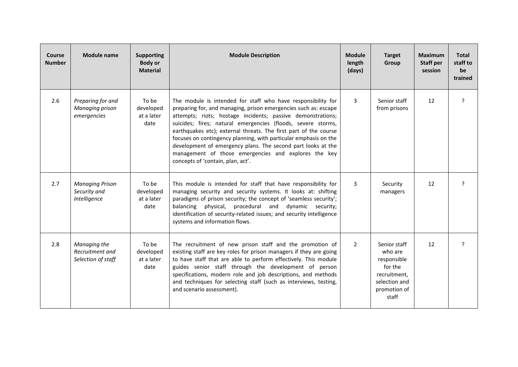| <b>Course</b><br><b>Number</b> | <b>Module name</b>                                         | <b>Supporting</b><br><b>Body or</b><br><b>Material</b> | <b>Module Description</b>                                                                                                                                                                                                                                                                                                                                                                                                                                                                                                                                           | <b>Module</b><br>length<br>(days) | <b>Target</b><br>Group                                                                                      | Maximum<br><b>Staff per</b><br>session | <b>Total</b><br>staff to<br>be<br>trained |
|--------------------------------|------------------------------------------------------------|--------------------------------------------------------|---------------------------------------------------------------------------------------------------------------------------------------------------------------------------------------------------------------------------------------------------------------------------------------------------------------------------------------------------------------------------------------------------------------------------------------------------------------------------------------------------------------------------------------------------------------------|-----------------------------------|-------------------------------------------------------------------------------------------------------------|----------------------------------------|-------------------------------------------|
| 2.6                            | Preparing for and<br><b>Managing prison</b><br>emergencies | To be<br>developed<br>at a later<br>date               | The module is intended for staff who have responsibility for<br>preparing for, and managing, prison emergencies such as: escape<br>attempts; riots; hostage incidents; passive demonstrations;<br>suicides; fires; natural emergencies (floods, severe storms,<br>earthquakes etc); external threats. The first part of the course<br>focuses on contingency planning, with particular emphasis on the<br>development of emergency plans. The second part looks at the<br>management of those emergencies and explores the key<br>concepts of 'contain, plan, act'. | 3                                 | Senior staff<br>from prisons                                                                                | 12                                     | ?                                         |
| 2.7                            | <b>Managing Prison</b><br>Security and<br>Intelligence     | To be<br>developed<br>at a later<br>date               | This module is intended for staff that have responsibility for<br>managing security and security systems. It looks at: shifting<br>paradigms of prison security; the concept of 'seamless security';<br>balancing physical, procedural and dynamic security;<br>identification of security-related issues; and security intelligence<br>systems and information flows.                                                                                                                                                                                              | 3                                 | Security<br>managers                                                                                        | 12                                     | ?                                         |
| 2.8                            | Managing the<br>Recruitment and<br>Selection of staff      | To be<br>developed<br>at a later<br>date               | The recruitment of new prison staff and the promotion of<br>existing staff are key roles for prison managers if they are going<br>to have staff that are able to perform effectively. This module<br>guides senior staff through the development of person<br>specifications, modern role and job descriptions, and methods<br>and techniques for selecting staff (such as interviews, testing,<br>and scenario assessment).                                                                                                                                        | 2                                 | Senior staff<br>who are<br>responsible<br>for the<br>recruitment,<br>selection and<br>promotion of<br>staff | 12                                     | <sub>2</sub>                              |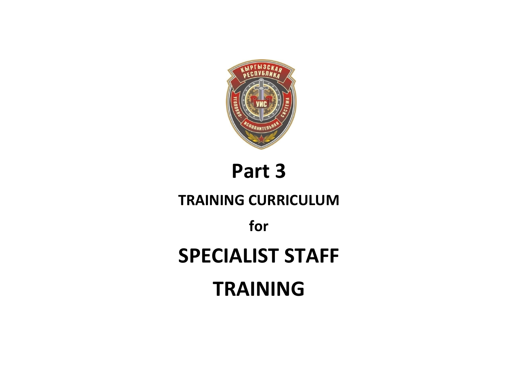

**Part 3** 

## **TRAINING CURRICULUM**

**for** 

## **SPECIALIST STAFF**

**TRAINING**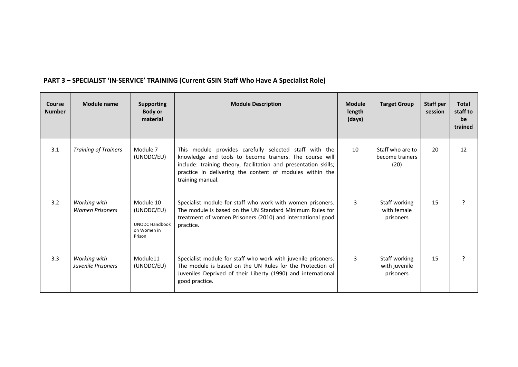| Course<br><b>Number</b> | <b>Module name</b>                     | <b>Supporting</b><br><b>Body or</b><br>material                           | <b>Module Description</b>                                                                                                                                                                                                                                            | <b>Module</b><br>length<br>(days) | <b>Target Group</b>                         | <b>Staff per</b><br>session | <b>Total</b><br>staff to<br>be<br>trained |
|-------------------------|----------------------------------------|---------------------------------------------------------------------------|----------------------------------------------------------------------------------------------------------------------------------------------------------------------------------------------------------------------------------------------------------------------|-----------------------------------|---------------------------------------------|-----------------------------|-------------------------------------------|
| 3.1                     | <b>Training of Trainers</b>            | Module 7<br>(UNODC/EU)                                                    | This module provides carefully selected staff with the<br>knowledge and tools to become trainers. The course will<br>include: training theory, facilitation and presentation skills;<br>practice in delivering the content of modules within the<br>training manual. | 10                                | Staff who are to<br>become trainers<br>(20) | 20                          | 12                                        |
| 3.2                     | Working with<br><b>Women Prisoners</b> | Module 10<br>(UNODC/EU)<br><b>UNODC Handbook</b><br>on Women in<br>Prison | Specialist module for staff who work with women prisoners.<br>The module is based on the UN Standard Minimum Rules for<br>treatment of women Prisoners (2010) and international good<br>practice.                                                                    | 3                                 | Staff working<br>with female<br>prisoners   | 15                          | ς                                         |
| 3.3                     | Working with<br>Juvenile Prisoners     | Module11<br>(UNODC/EU)                                                    | Specialist module for staff who work with juvenile prisoners.<br>The module is based on the UN Rules for the Protection of<br>Juveniles Deprived of their Liberty (1990) and international<br>good practice.                                                         | 3                                 | Staff working<br>with juvenile<br>prisoners | 15                          | 2                                         |

### **PART 3 – SPECIALIST 'IN-SERVICE' TRAINING (Current GSIN Staff Who Have A Specialist Role)**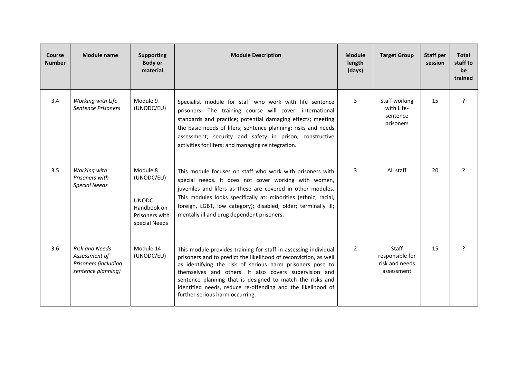| <b>Course</b><br><b>Number</b> | <b>Module name</b>                                                                   | <b>Supporting</b><br><b>Body or</b><br>material                                          | <b>Module Description</b>                                                                                                                                                                                                                                                                                                                                                                                                | <b>Module</b><br>length<br>(days) | <b>Target Group</b>                                      | <b>Staff per</b><br>session | <b>Total</b><br>staff to<br>be<br>trained |
|--------------------------------|--------------------------------------------------------------------------------------|------------------------------------------------------------------------------------------|--------------------------------------------------------------------------------------------------------------------------------------------------------------------------------------------------------------------------------------------------------------------------------------------------------------------------------------------------------------------------------------------------------------------------|-----------------------------------|----------------------------------------------------------|-----------------------------|-------------------------------------------|
| 3.4                            | Working with Life<br><b>Sentence Prisoners</b>                                       | Module 9<br>(UNODC/EU)                                                                   | Specialist module for staff who work with life sentence<br>prisoners. The training course will cover: international<br>standards and practice; potential damaging effects; meeting<br>the basic needs of lifers; sentence planning; risks and needs<br>assessment; security and safety in prison; constructive<br>activities for lifers; and managing reintegration.                                                     | 3                                 | Staff working<br>with Life-<br>sentence<br>prisoners     | 15                          | $\overline{?}$                            |
| 3.5                            | Working with<br>Prisoners with<br><b>Special Needs</b>                               | Module 8<br>(UNODC/EU)<br><b>UNODC</b><br>Handbook on<br>Prisoners with<br>special Needs | This module focuses on staff who work with prisoners with<br>special needs. It does not cover working with women,<br>juveniles and lifers as these are covered in other modules.<br>This modules looks specifically at: minorities (ethnic, racial,<br>foreign, LGBT, low category); disabled; older; terminally ill;<br>mentally ill and drug dependent prisoners.                                                      | 3                                 | All staff                                                | 20                          | ?                                         |
| 3.6                            | <b>Risk and Needs</b><br>Assessment of<br>Prisoners (including<br>sentence planning) | Module 14<br>(UNODC/EU)                                                                  | This module provides training for staff in assessing individual<br>prisoners and to predict the likelihood of reconviction, as well<br>as identifying the risk of serious harm prisoners pose to<br>themselves and others. It also covers supervision and<br>sentence planning that is designed to match the risks and<br>identified needs, reduce re-offending and the likelihood of<br>further serious harm occurring. | $\overline{2}$                    | Staff<br>responsible for<br>risk and needs<br>assessment | 15                          | ?                                         |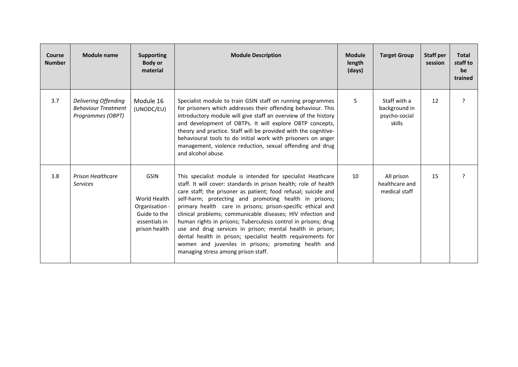| Course<br><b>Number</b> | <b>Module name</b>                                                      | <b>Supporting</b><br><b>Body or</b><br>material                                                 | <b>Module Description</b>                                                                                                                                                                                                                                                                                                                                                                                                                                                                                                                                                                                                                                                              | <b>Module</b><br>length<br>(days) | <b>Target Group</b>                                      | <b>Staff per</b><br>session | <b>Total</b><br>staff to<br>be<br>trained |
|-------------------------|-------------------------------------------------------------------------|-------------------------------------------------------------------------------------------------|----------------------------------------------------------------------------------------------------------------------------------------------------------------------------------------------------------------------------------------------------------------------------------------------------------------------------------------------------------------------------------------------------------------------------------------------------------------------------------------------------------------------------------------------------------------------------------------------------------------------------------------------------------------------------------------|-----------------------------------|----------------------------------------------------------|-----------------------------|-------------------------------------------|
| 3.7                     | Delivering Offending<br><b>Behaviour Treatment</b><br>Programmes (OBPT) | Module 16<br>(UNODC/EU)                                                                         | Specialist module to train GSIN staff on running programmes<br>for prisoners which addresses their offending behaviour. This<br>introductory module will give staff an overview of the history<br>and development of OBTPs. It will explore OBTP concepts,<br>theory and practice. Staff will be provided with the cognitive-<br>behavioural tools to do initial work with prisoners on anger<br>management, violence reduction, sexual offending and drug<br>and alcohol abuse.                                                                                                                                                                                                       | 5                                 | Staff with a<br>background in<br>psycho-social<br>skills | 12                          | ?                                         |
| 3.8                     | <b>Prison Healthcare</b><br><b>Services</b>                             | <b>GSIN</b><br>World Health<br>Organisation -<br>Guide to the<br>essentials in<br>prison health | This specialist module is intended for specialist Heathcare<br>staff. It will cover: standards in prison health; role of health<br>care staff; the prisoner as patient; food refusal; suicide and<br>self-harm; protecting and promoting health in prisons;<br>primary health care in prisons; prison-specific ethical and<br>clinical problems; communicable diseases; HIV infection and<br>human rights in prisons; Tuberculosis control in prisons; drug<br>use and drug services in prison; mental health in prison;<br>dental health in prison; specialist health requirements for<br>women and juveniles in prisons; promoting health and<br>managing stress among prison staff. | 10                                | All prison<br>healthcare and<br>medical staff            | 15                          | ς                                         |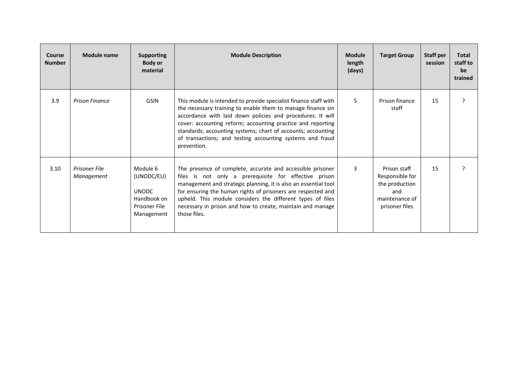| Course<br><b>Number</b> | Module name                 | <b>Supporting</b><br><b>Body or</b><br>material                                      | <b>Module Description</b>                                                                                                                                                                                                                                                                                                                                                                                | <b>Module</b><br>length<br>(days) | <b>Target Group</b>                                                                          | Staff per<br>session | <b>Total</b><br>staff to<br>be<br>trained |
|-------------------------|-----------------------------|--------------------------------------------------------------------------------------|----------------------------------------------------------------------------------------------------------------------------------------------------------------------------------------------------------------------------------------------------------------------------------------------------------------------------------------------------------------------------------------------------------|-----------------------------------|----------------------------------------------------------------------------------------------|----------------------|-------------------------------------------|
| 3.9                     | <b>Prison Finance</b>       | <b>GSIN</b>                                                                          | This module is intended to provide specialist finance staff with<br>the necessary training to enable them to manage finance sin<br>accordance with laid down policies and procedures. It will<br>cover: accounting reform; accounting practice and reporting<br>standards; accounting systems; chart of accounts; accounting<br>of transactions; and testing accounting systems and fraud<br>prevention. | 5                                 | Prison finance<br>staff                                                                      | 15                   | ς                                         |
| 3.10                    | Prisoner File<br>Management | Module 6<br>(UNODC/EU)<br><b>UNODC</b><br>Handbook on<br>Prisoner File<br>Management | The presence of complete, accurate and accessible prisoner<br>files is not only a prerequisite for effective prison<br>management and strategic planning, it is also an essential tool<br>for ensuring the human rights of prisoners are respected and<br>upheld. This module considers the different types of files<br>necessary in prison and how to create, maintain and manage<br>those files.       | 3                                 | Prison staff<br>Responsible for<br>the production<br>and<br>maintenance of<br>prisoner files | 15                   | ς                                         |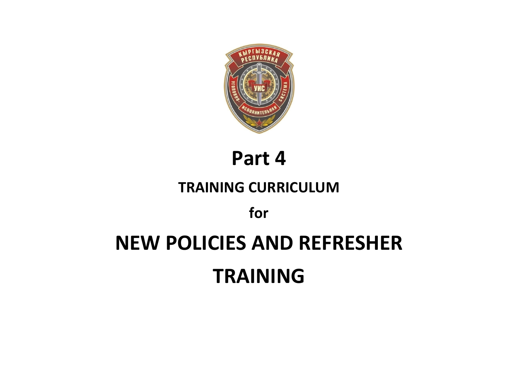

**Part 4** 

## **TRAINING CURRICULUM**

**for** 

# **NEW POLICIES AND REFRESHER TRAINING**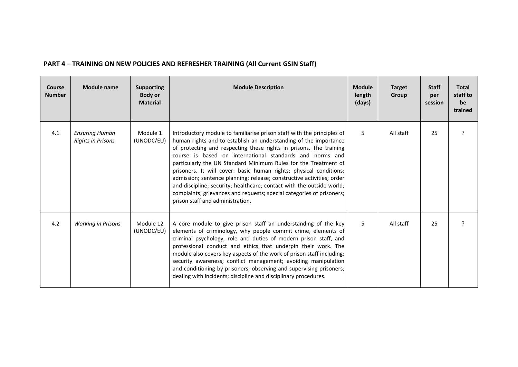| <b>Course</b><br><b>Number</b> | <b>Module name</b>                                | <b>Supporting</b><br><b>Body or</b><br><b>Material</b> | <b>Module Description</b>                                                                                                                                                                                                                                                                                                                                                                                                                                                                                                                                                                                                                                                            | <b>Module</b><br>length<br>(days) | <b>Target</b><br>Group | <b>Staff</b><br>per<br>session | <b>Total</b><br>staff to<br>be<br>trained |
|--------------------------------|---------------------------------------------------|--------------------------------------------------------|--------------------------------------------------------------------------------------------------------------------------------------------------------------------------------------------------------------------------------------------------------------------------------------------------------------------------------------------------------------------------------------------------------------------------------------------------------------------------------------------------------------------------------------------------------------------------------------------------------------------------------------------------------------------------------------|-----------------------------------|------------------------|--------------------------------|-------------------------------------------|
| 4.1                            | <b>Ensuring Human</b><br><b>Rights in Prisons</b> | Module 1<br>(UNODC/EU)                                 | Introductory module to familiarise prison staff with the principles of<br>human rights and to establish an understanding of the importance<br>of protecting and respecting these rights in prisons. The training<br>course is based on international standards and norms and<br>particularly the UN Standard Minimum Rules for the Treatment of<br>prisoners. It will cover: basic human rights; physical conditions;<br>admission; sentence planning; release; constructive activities; order<br>and discipline; security; healthcare; contact with the outside world;<br>complaints; grievances and requests; special categories of prisoners;<br>prison staff and administration. | 5                                 | All staff              | 25                             | ς                                         |
| 4.2                            | <b>Working in Prisons</b>                         | Module 12<br>(UNODC/EU)                                | A core module to give prison staff an understanding of the key<br>elements of criminology, why people commit crime, elements of<br>criminal psychology, role and duties of modern prison staff, and<br>professional conduct and ethics that underpin their work. The<br>module also covers key aspects of the work of prison staff including:<br>security awareness; conflict management; avoiding manipulation<br>and conditioning by prisoners; observing and supervising prisoners;<br>dealing with incidents; discipline and disciplinary procedures.                                                                                                                            | 5                                 | All staff              | 25                             |                                           |

### **PART 4 – TRAINING ON NEW POLICIES AND REFRESHER TRAINING (All Current GSIN Staff)**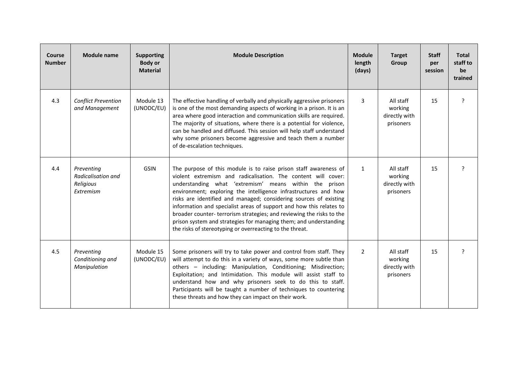| Course<br><b>Number</b> | <b>Module name</b>                                                | <b>Supporting</b><br><b>Body or</b><br><b>Material</b> | <b>Module Description</b>                                                                                                                                                                                                                                                                                                                                                                                                                                                                                                                                                                                            | <b>Module</b><br>length<br>(days) | <b>Target</b><br>Group                             | <b>Staff</b><br>per<br>session | <b>Total</b><br>staff to<br>be<br>trained |
|-------------------------|-------------------------------------------------------------------|--------------------------------------------------------|----------------------------------------------------------------------------------------------------------------------------------------------------------------------------------------------------------------------------------------------------------------------------------------------------------------------------------------------------------------------------------------------------------------------------------------------------------------------------------------------------------------------------------------------------------------------------------------------------------------------|-----------------------------------|----------------------------------------------------|--------------------------------|-------------------------------------------|
| 4.3                     | <b>Conflict Prevention</b><br>and Management                      | Module 13<br>(UNODC/EU)                                | The effective handling of verbally and physically aggressive prisoners<br>is one of the most demanding aspects of working in a prison. It is an<br>area where good interaction and communication skills are required.<br>The majority of situations, where there is a potential for violence,<br>can be handled and diffused. This session will help staff understand<br>why some prisoners become aggressive and teach them a number<br>of de-escalation techniques.                                                                                                                                                | 3                                 | All staff<br>working<br>directly with<br>prisoners | 15                             | ?                                         |
| 4.4                     | Preventing<br><b>Radicalisation and</b><br>Religious<br>Extremism | <b>GSIN</b>                                            | The purpose of this module is to raise prison staff awareness of<br>violent extremism and radicalisation. The content will cover:<br>understanding what 'extremism' means within the prison<br>environment; exploring the intelligence infrastructures and how<br>risks are identified and managed; considering sources of existing<br>information and specialist areas of support and how this relates to<br>broader counter- terrorism strategies; and reviewing the risks to the<br>prison system and strategies for managing them; and understanding<br>the risks of stereotyping or overreacting to the threat. | $\mathbf{1}$                      | All staff<br>working<br>directly with<br>prisoners | 15                             | ?                                         |
| 4.5                     | Preventing<br>Conditioning and<br>Manipulation                    | Module 15<br>(UNODC/EU)                                | Some prisoners will try to take power and control from staff. They<br>will attempt to do this in a variety of ways, some more subtle than<br>others - including: Manipulation, Conditioning; Misdirection;<br>Exploitation; and Intimidation. This module will assist staff to<br>understand how and why prisoners seek to do this to staff.<br>Participants will be taught a number of techniques to countering<br>these threats and how they can impact on their work.                                                                                                                                             | $\overline{2}$                    | All staff<br>working<br>directly with<br>prisoners | 15                             | ?                                         |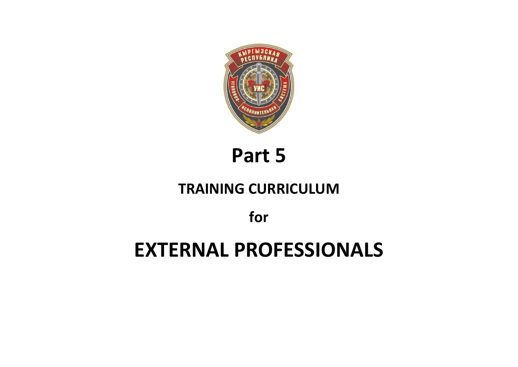

**Part 5** 

## **TRAINING CURRICULUM**

**for** 

# **EXTERNAL PROFESSIONALS**